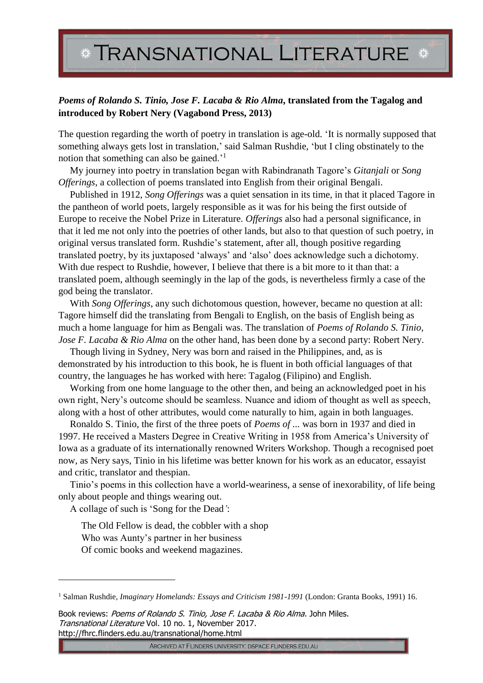## TRANSNATIONAL LITERATURE \*

## *Poems of Rolando S. Tinio, Jose F. Lacaba & Rio Alma***, translated from the Tagalog and introduced by Robert Nery (Vagabond Press, 2013)**

The question regarding the worth of poetry in translation is age-old. 'It is normally supposed that something always gets lost in translation,' said Salman Rushdie, 'but I cling obstinately to the notion that something can also be gained.'<sup>1</sup>

My journey into poetry in translation began with Rabindranath Tagore's *Gitanjali* or *Song Offerings*, a collection of poems translated into English from their original Bengali.

Published in 1912, *Song Offerings* was a quiet sensation in its time, in that it placed Tagore in the pantheon of world poets, largely responsible as it was for his being the first outside of Europe to receive the Nobel Prize in Literature. *Offerings* also had a personal significance, in that it led me not only into the poetries of other lands, but also to that question of such poetry, in original versus translated form. Rushdie's statement, after all, though positive regarding translated poetry, by its juxtaposed 'always' and 'also' does acknowledge such a dichotomy. With due respect to Rushdie, however, I believe that there is a bit more to it than that: a translated poem, although seemingly in the lap of the gods, is nevertheless firmly a case of the god being the translator.

With *Song Offerings*, any such dichotomous question, however, became no question at all: Tagore himself did the translating from Bengali to English, on the basis of English being as much a home language for him as Bengali was. The translation of *Poems of Rolando S. Tinio, Jose F. Lacaba & Rio Alma* on the other hand, has been done by a second party: Robert Nery.

Though living in Sydney, Nery was born and raised in the Philippines, and, as is demonstrated by his introduction to this book, he is fluent in both official languages of that country, the languages he has worked with here: Tagalog (Filipino) and English.

Working from one home language to the other then, and being an acknowledged poet in his own right, Nery's outcome should be seamless. Nuance and idiom of thought as well as speech, along with a host of other attributes, would come naturally to him, again in both languages.

Ronaldo S. Tinio, the first of the three poets of *Poems of ...* was born in 1937 and died in 1997. He received a Masters Degree in Creative Writing in 1958 from America's University of Iowa as a graduate of its internationally renowned Writers Workshop. Though a recognised poet now, as Nery says, Tinio in his lifetime was better known for his work as an educator, essayist and critic, translator and thespian.

Tinio's poems in this collection have a world-weariness, a sense of inexorability, of life being only about people and things wearing out.

A collage of such is 'Song for the Dead*'*:

<u>.</u>

The Old Fellow is dead, the cobbler with a shop Who was Aunty's partner in her business Of comic books and weekend magazines.

Book reviews: Poems of Rolando S. Tinio, Jose F. Lacaba & Rio Alma. John Miles. Transnational Literature Vol. 10 no. 1, November 2017. http://fhrc.flinders.edu.au/transnational/home.html

<sup>1</sup> Salman Rushdie, *Imaginary Homelands: Essays and Criticism 1981-1991* (London: Granta Books, 1991) 16.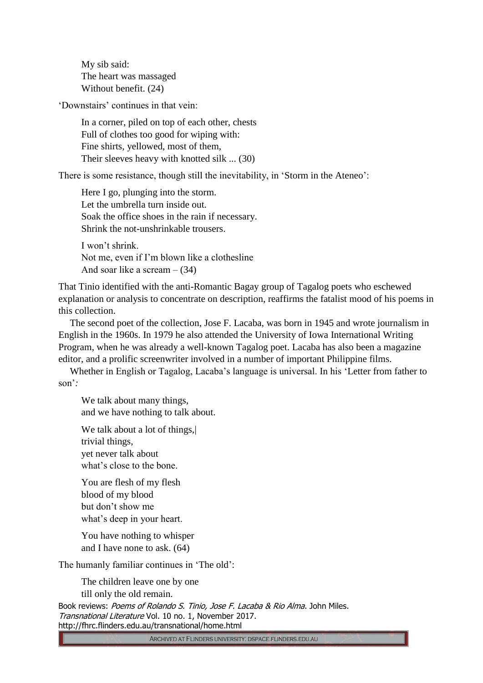My sib said: The heart was massaged Without benefit. (24)

'Downstairs' continues in that vein:

In a corner, piled on top of each other, chests Full of clothes too good for wiping with: Fine shirts, yellowed, most of them, Their sleeves heavy with knotted silk ... (30)

There is some resistance, though still the inevitability, in 'Storm in the Ateneo':

Here I go, plunging into the storm. Let the umbrella turn inside out. Soak the office shoes in the rain if necessary. Shrink the not-unshrinkable trousers.

I won't shrink. Not me, even if I'm blown like a clothesline And soar like a scream  $- (34)$ 

That Tinio identified with the anti-Romantic Bagay group of Tagalog poets who eschewed explanation or analysis to concentrate on description, reaffirms the fatalist mood of his poems in this collection.

The second poet of the collection, Jose F. Lacaba, was born in 1945 and wrote journalism in English in the 1960s. In 1979 he also attended the University of Iowa International Writing Program, when he was already a well-known Tagalog poet. Lacaba has also been a magazine editor, and a prolific screenwriter involved in a number of important Philippine films.

Whether in English or Tagalog, Lacaba's language is universal. In his 'Letter from father to son'*:*

We talk about many things, and we have nothing to talk about.

We talk about a lot of things, trivial things, yet never talk about what's close to the bone.

You are flesh of my flesh blood of my blood but don't show me what's deep in your heart.

You have nothing to whisper and I have none to ask. (64)

The humanly familiar continues in 'The old':

The children leave one by one till only the old remain.

Book reviews: Poems of Rolando S. Tinio, Jose F. Lacaba & Rio Alma. John Miles. Transnational Literature Vol. 10 no. 1, November 2017. http://fhrc.flinders.edu.au/transnational/home.html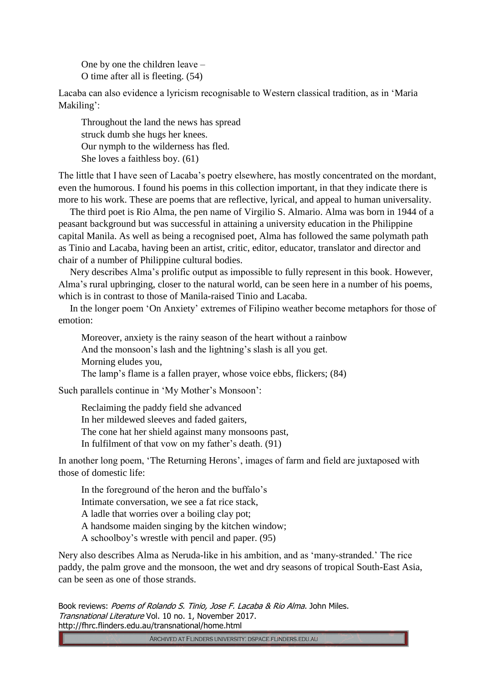One by one the children leave – O time after all is fleeting. (54)

Lacaba can also evidence a lyricism recognisable to Western classical tradition, as in 'Maria Makiling':

Throughout the land the news has spread struck dumb she hugs her knees. Our nymph to the wilderness has fled. She loves a faithless boy. (61)

The little that I have seen of Lacaba's poetry elsewhere, has mostly concentrated on the mordant, even the humorous. I found his poems in this collection important, in that they indicate there is more to his work. These are poems that are reflective, lyrical, and appeal to human universality.

The third poet is Rio Alma, the pen name of Virgilio S. Almario. Alma was born in 1944 of a peasant background but was successful in attaining a university education in the Philippine capital Manila. As well as being a recognised poet, Alma has followed the same polymath path as Tinio and Lacaba, having been an artist, critic, editor, educator, translator and director and chair of a number of Philippine cultural bodies.

Nery describes Alma's prolific output as impossible to fully represent in this book. However, Alma's rural upbringing, closer to the natural world, can be seen here in a number of his poems, which is in contrast to those of Manila-raised Tinio and Lacaba.

In the longer poem 'On Anxiety' extremes of Filipino weather become metaphors for those of emotion:

Moreover, anxiety is the rainy season of the heart without a rainbow And the monsoon's lash and the lightning's slash is all you get. Morning eludes you,

The lamp's flame is a fallen prayer, whose voice ebbs, flickers; (84)

Such parallels continue in 'My Mother's Monsoon':

Reclaiming the paddy field she advanced In her mildewed sleeves and faded gaiters, The cone hat her shield against many monsoons past, In fulfilment of that vow on my father's death. (91)

In another long poem, 'The Returning Herons', images of farm and field are juxtaposed with those of domestic life:

In the foreground of the heron and the buffalo's Intimate conversation, we see a fat rice stack, A ladle that worries over a boiling clay pot; A handsome maiden singing by the kitchen window; A schoolboy's wrestle with pencil and paper. (95)

Nery also describes Alma as Neruda-like in his ambition, and as 'many-stranded.' The rice paddy, the palm grove and the monsoon, the wet and dry seasons of tropical South-East Asia, can be seen as one of those strands.

Book reviews: Poems of Rolando S. Tinio, Jose F. Lacaba & Rio Alma. John Miles. Transnational Literature Vol. 10 no. 1, November 2017. http://fhrc.flinders.edu.au/transnational/home.html